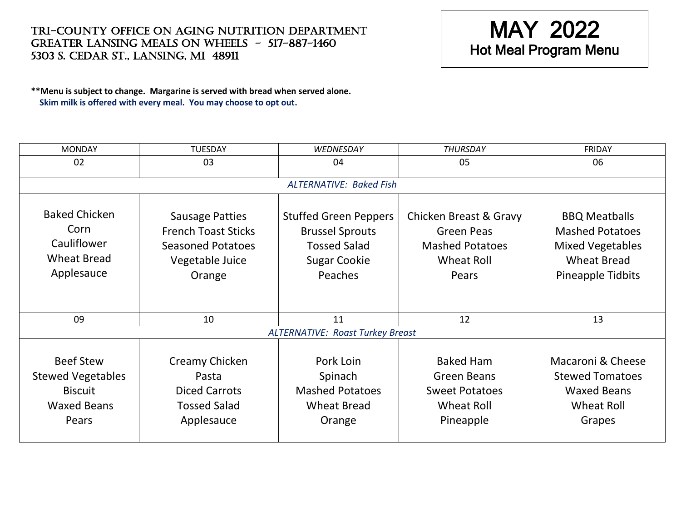Tri-County Office on Aging Nutrition Department Greater lansing meals on wheels - 517-887-1460 5303 S. cedar st., lansing, MI 48911



**\*\*Menu is subject to change. Margarine is served with bread when served alone. Skim milk is offered with every meal. You may choose to opt out.**

| <b>MONDAY</b>                                                                                 | <b>TUESDAY</b>                                                                                                | WEDNESDAY                                                                                                       | <b>THURSDAY</b>                                                                                     | <b>FRIDAY</b>                                                                                                        |  |  |  |
|-----------------------------------------------------------------------------------------------|---------------------------------------------------------------------------------------------------------------|-----------------------------------------------------------------------------------------------------------------|-----------------------------------------------------------------------------------------------------|----------------------------------------------------------------------------------------------------------------------|--|--|--|
| 02                                                                                            | 03                                                                                                            | 04                                                                                                              | 05                                                                                                  | 06                                                                                                                   |  |  |  |
| <b>ALTERNATIVE: Baked Fish</b>                                                                |                                                                                                               |                                                                                                                 |                                                                                                     |                                                                                                                      |  |  |  |
| <b>Baked Chicken</b><br>Corn<br>Cauliflower<br><b>Wheat Bread</b><br>Applesauce               | <b>Sausage Patties</b><br><b>French Toast Sticks</b><br><b>Seasoned Potatoes</b><br>Vegetable Juice<br>Orange | <b>Stuffed Green Peppers</b><br><b>Brussel Sprouts</b><br><b>Tossed Salad</b><br><b>Sugar Cookie</b><br>Peaches | Chicken Breast & Gravy<br><b>Green Peas</b><br><b>Mashed Potatoes</b><br><b>Wheat Roll</b><br>Pears | <b>BBQ Meatballs</b><br><b>Mashed Potatoes</b><br><b>Mixed Vegetables</b><br><b>Wheat Bread</b><br>Pineapple Tidbits |  |  |  |
| 09                                                                                            | 10                                                                                                            | 11                                                                                                              | 12                                                                                                  | 13                                                                                                                   |  |  |  |
| <b>ALTERNATIVE: Roast Turkey Breast</b>                                                       |                                                                                                               |                                                                                                                 |                                                                                                     |                                                                                                                      |  |  |  |
| <b>Beef Stew</b><br><b>Stewed Vegetables</b><br><b>Biscuit</b><br><b>Waxed Beans</b><br>Pears | Creamy Chicken<br>Pasta<br><b>Diced Carrots</b><br><b>Tossed Salad</b><br>Applesauce                          | Pork Loin<br>Spinach<br><b>Mashed Potatoes</b><br><b>Wheat Bread</b><br>Orange                                  | <b>Baked Ham</b><br>Green Beans<br><b>Sweet Potatoes</b><br><b>Wheat Roll</b><br>Pineapple          | Macaroni & Cheese<br><b>Stewed Tomatoes</b><br><b>Waxed Beans</b><br><b>Wheat Roll</b><br>Grapes                     |  |  |  |